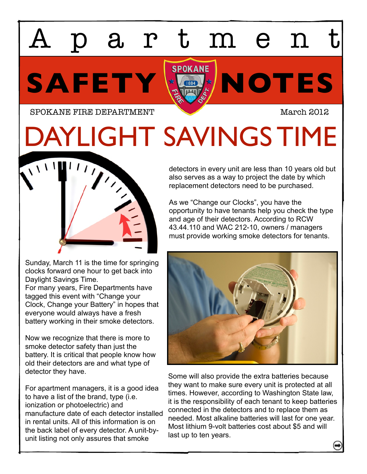## artmen

SAFETY **KOTES** 

SPOKANE FIRE DEPARTMENT March 2012

DAYLIGHT SAVINGS TIME



Sunday, March 11 is the time for springing clocks forward one hour to get back into Daylight Savings Time. For many years, Fire Departments have tagged this event with "Change your Clock, Change your Battery" in hopes that everyone would always have a fresh battery working in their smoke detectors.

Now we recognize that there is more to smoke detector safety than just the battery. It is critical that people know how old their detectors are and what type of detector they have.

For apartment managers, it is a good idea to have a list of the brand, type (i.e. ionization or photoelectric) and manufacture date of each detector installed in rental units. All of this information is on the back label of every detector. A unit-byunit listing not only assures that smoke

detectors in every unit are less than 10 years old but also serves as a way to project the date by which replacement detectors need to be purchased.

As we "Change our Clocks", you have the opportunity to have tenants help you check the type and age of their detectors. According to RCW 43.44.110 and WAC 212-10, owners / managers must provide working smoke detectors for tenants.



Some will also provide the extra batteries because they want to make sure every unit is protected at all times. However, according to Washington State law, it is the responsibility of each tenant to keep batteries connected in the detectors and to replace them as needed. Most alkaline batteries will last for one year. Most lithium 9-volt batteries cost about \$5 and will last up to ten years.